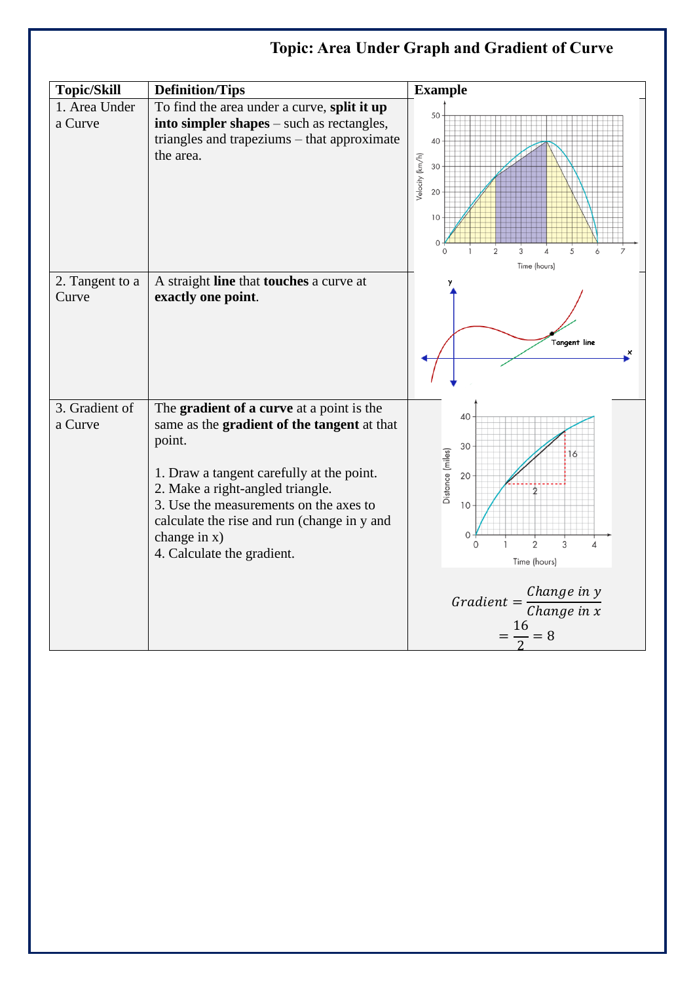## **Topic: Area Under Graph and Gradient of Curve**

| <b>Topic/Skill</b>        | <b>Definition/Tips</b>                                                                                                                                                                                                                                                                                                       | <b>Example</b>                                                                                                                                                      |
|---------------------------|------------------------------------------------------------------------------------------------------------------------------------------------------------------------------------------------------------------------------------------------------------------------------------------------------------------------------|---------------------------------------------------------------------------------------------------------------------------------------------------------------------|
| 1. Area Under<br>a Curve  | To find the area under a curve, split it up<br>into simpler shapes – such as rectangles,<br>triangles and trapeziums – that approximate<br>the area.                                                                                                                                                                         | 50<br>40<br>Velocity (km/h)<br>30<br>20<br>10 <sup>1</sup><br>$\circ$<br>$\overline{2}$<br>3<br>5<br>Time (hours)                                                   |
| 2. Tangent to a<br>Curve  | A straight line that touches a curve at<br>exactly one point.                                                                                                                                                                                                                                                                | y<br>Tangent line<br>×                                                                                                                                              |
| 3. Gradient of<br>a Curve | The gradient of a curve at a point is the<br>same as the gradient of the tangent at that<br>point.<br>1. Draw a tangent carefully at the point.<br>2. Make a right-angled triangle.<br>3. Use the measurements on the axes to<br>calculate the rise and run (change in y and<br>change in $x)$<br>4. Calculate the gradient. | 40<br>30<br>Distance (miles)<br>16<br>20<br>10<br>0<br>$\overline{2}$<br>3<br>$\overline{4}$<br>Time (hours)<br>Change in y<br>$Gradient =$<br>Change in x<br>$= 8$ |